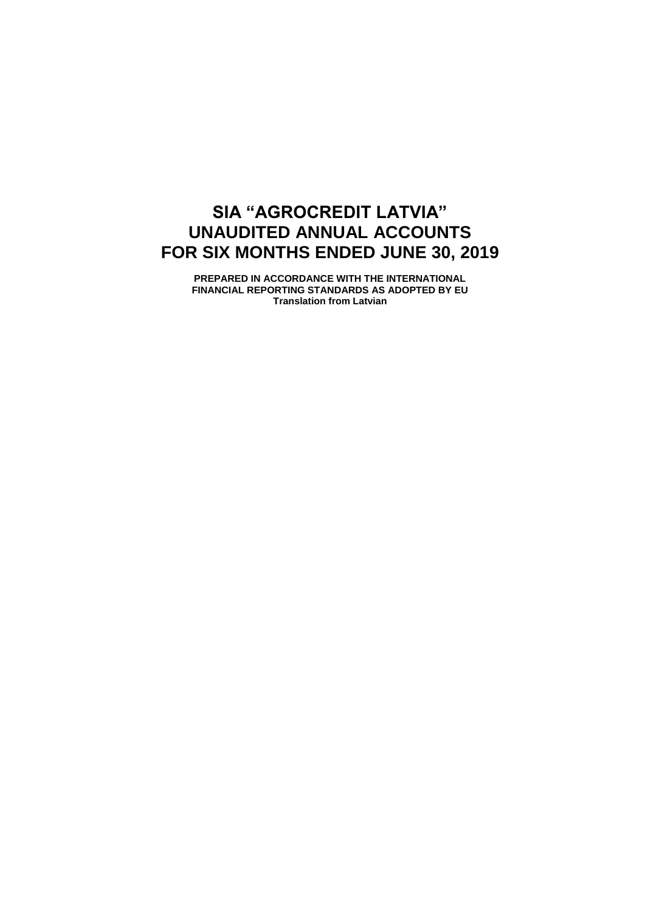# **SIA "AGROCREDIT LATVIA" UNAUDITED ANNUAL ACCOUNTS FOR SIX MONTHS ENDED JUNE 30, 2019**

**PREPARED IN ACCORDANCE WITH THE INTERNATIONAL FINANCIAL REPORTING STANDARDS AS ADOPTED BY EU Translation from Latvian**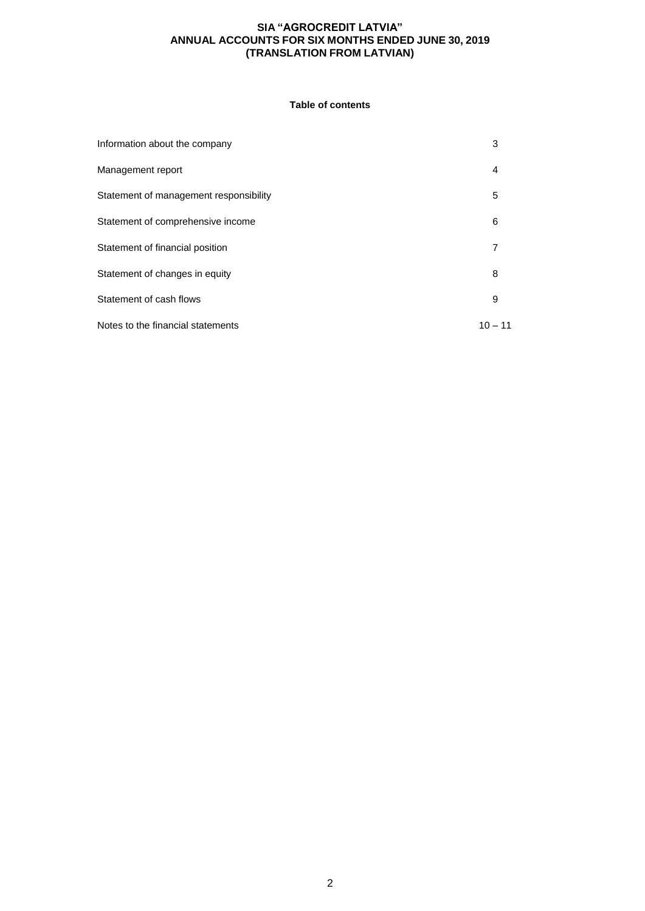## **Table of contents**

| Information about the company          | 3         |
|----------------------------------------|-----------|
| Management report                      | 4         |
| Statement of management responsibility | 5         |
| Statement of comprehensive income      | 6         |
| Statement of financial position        | 7         |
| Statement of changes in equity         | 8         |
| Statement of cash flows                | 9         |
| Notes to the financial statements      | $10 - 11$ |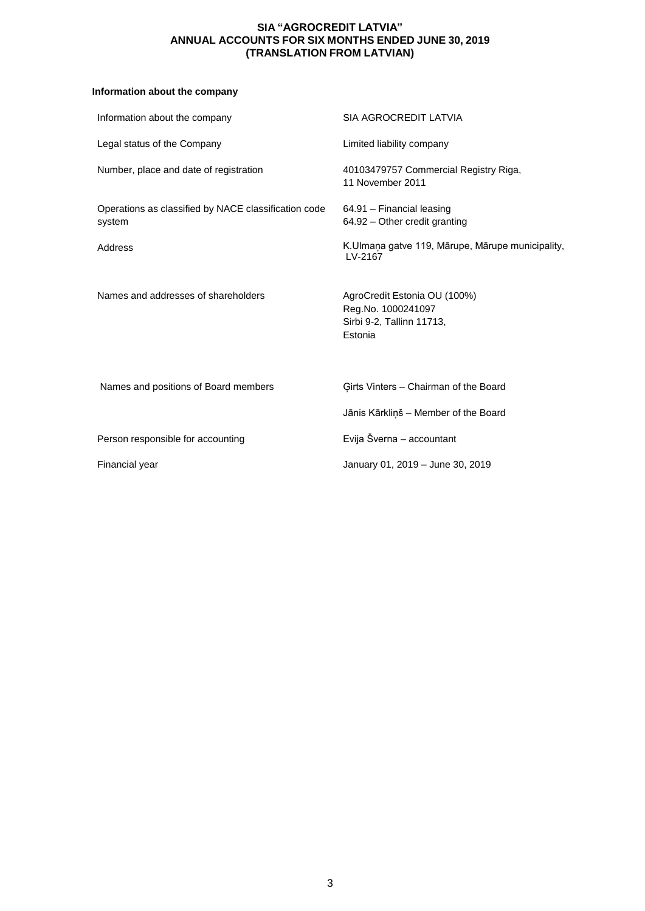## **Information about the company**

| Information about the company                                  | SIA AGROCREDIT LATVIA                                                                      |
|----------------------------------------------------------------|--------------------------------------------------------------------------------------------|
| Legal status of the Company                                    | Limited liability company                                                                  |
| Number, place and date of registration                         | 40103479757 Commercial Registry Riga,<br>11 November 2011                                  |
| Operations as classified by NACE classification code<br>system | 64.91 - Financial leasing<br>64.92 - Other credit granting                                 |
| Address                                                        | K.Ulmaņa gatve 119, Mārupe, Mārupe municipality,<br>LV-2167                                |
| Names and addresses of shareholders                            | AgroCredit Estonia OU (100%)<br>Reg.No. 1000241097<br>Sirbi 9-2, Tallinn 11713,<br>Estonia |
| Names and positions of Board members                           | Girts Vinters - Chairman of the Board                                                      |
|                                                                | Jānis Kārkliņš - Member of the Board                                                       |
| Person responsible for accounting                              | Evija Šverna - accountant                                                                  |
| Financial year                                                 | January 01, 2019 - June 30, 2019                                                           |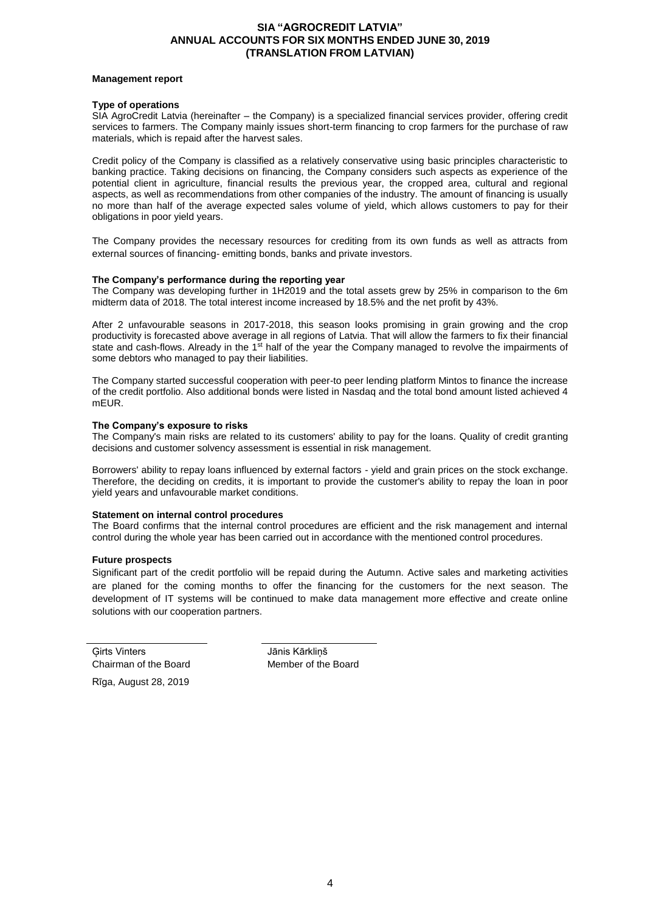#### **Management report**

#### **Type of operations**

SIA AgroCredit Latvia (hereinafter – the Company) is a specialized financial services provider, offering credit services to farmers. The Company mainly issues short-term financing to crop farmers for the purchase of raw materials, which is repaid after the harvest sales.

Credit policy of the Company is classified as a relatively conservative using basic principles characteristic to banking practice. Taking decisions on financing, the Company considers such aspects as experience of the potential client in agriculture, financial results the previous year, the cropped area, cultural and regional aspects, as well as recommendations from other companies of the industry. The amount of financing is usually no more than half of the average expected sales volume of yield, which allows customers to pay for their obligations in poor yield years.

The Company provides the necessary resources for crediting from its own funds as well as attracts from external sources of financing- emitting bonds, banks and private investors.

#### **The Company's performance during the reporting year**

The Company was developing further in 1H2019 and the total assets grew by 25% in comparison to the 6m midterm data of 2018. The total interest income increased by 18.5% and the net profit by 43%.

After 2 unfavourable seasons in 2017-2018, this season looks promising in grain growing and the crop productivity is forecasted above average in all regions of Latvia. That will allow the farmers to fix their financial state and cash-flows. Already in the 1<sup>st</sup> half of the year the Company managed to revolve the impairments of some debtors who managed to pay their liabilities.

The Company started successful cooperation with peer-to peer lending platform Mintos to finance the increase of the credit portfolio. Also additional bonds were listed in Nasdaq and the total bond amount listed achieved 4 mEUR.

#### **The Company's exposure to risks**

The Company's main risks are related to its customers' ability to pay for the loans. Quality of credit granting decisions and customer solvency assessment is essential in risk management.

Borrowers' ability to repay loans influenced by external factors - yield and grain prices on the stock exchange. Therefore, the deciding on credits, it is important to provide the customer's ability to repay the loan in poor yield years and unfavourable market conditions.

#### **Statement on internal control procedures**

The Board confirms that the internal control procedures are efficient and the risk management and internal control during the whole year has been carried out in accordance with the mentioned control procedures.

#### **Future prospects**

Significant part of the credit portfolio will be repaid during the Autumn. Active sales and marketing activities are planed for the coming months to offer the financing for the customers for the next season. The development of IT systems will be continued to make data management more effective and create online solutions with our cooperation partners.

Ģirts Vinters Jānis Kārkliņš Chairman of the Board Member of the Board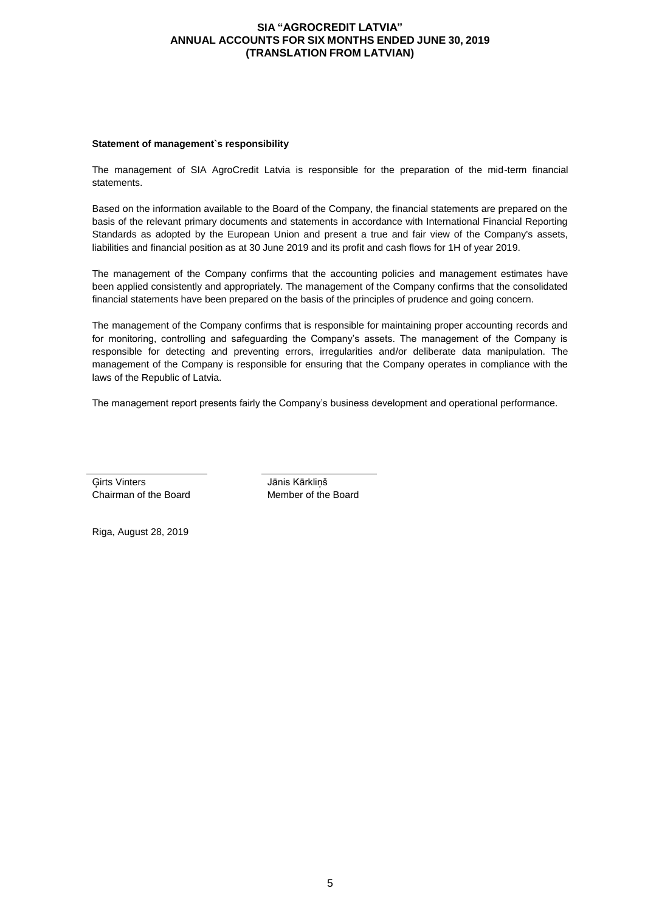#### **Statement of management`s responsibility**

The management of SIA AgroCredit Latvia is responsible for the preparation of the mid-term financial statements.

Based on the information available to the Board of the Company, the financial statements are prepared on the basis of the relevant primary documents and statements in accordance with International Financial Reporting Standards as adopted by the European Union and present a true and fair view of the Company's assets, liabilities and financial position as at 30 June 2019 and its profit and cash flows for 1H of year 2019.

The management of the Company confirms that the accounting policies and management estimates have been applied consistently and appropriately. The management of the Company confirms that the consolidated financial statements have been prepared on the basis of the principles of prudence and going concern.

The management of the Company confirms that is responsible for maintaining proper accounting records and for monitoring, controlling and safeguarding the Company's assets. The management of the Company is responsible for detecting and preventing errors, irregularities and/or deliberate data manipulation. The management of the Company is responsible for ensuring that the Company operates in compliance with the laws of the Republic of Latvia.

The management report presents fairly the Company's business development and operational performance.

Ģirts Vinters Jānis Kārkliņš Chairman of the Board Member of the Board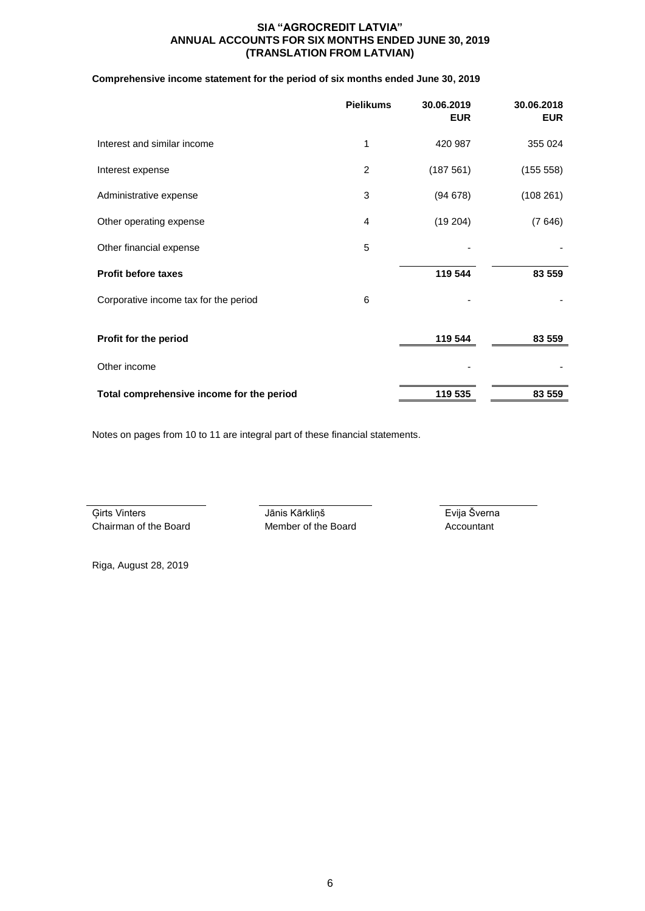## **Comprehensive income statement for the period of six months ended June 30, 2019**

|                                           | <b>Pielikums</b> | 30.06.2019<br><b>EUR</b> | 30.06.2018<br><b>EUR</b> |
|-------------------------------------------|------------------|--------------------------|--------------------------|
| Interest and similar income               | 1                | 420 987                  | 355 024                  |
| Interest expense                          | $\overline{2}$   | (187561)                 | (155 558)                |
| Administrative expense                    | 3                | (94678)                  | (108261)                 |
| Other operating expense                   | 4                | (19204)                  | (7646)                   |
| Other financial expense                   | 5                |                          |                          |
| <b>Profit before taxes</b>                |                  | 119 544                  | 83 559                   |
| Corporative income tax for the period     | 6                |                          |                          |
| Profit for the period                     |                  | 119 544                  | 83 559                   |
| Other income                              |                  |                          |                          |
| Total comprehensive income for the period |                  | 119 535                  | 83 559                   |

Notes on pages from 10 to 11 are integral part of these financial statements.

Ģirts Vinters Jānis Kārkliņš Evija Šverna Chairman of the Board Member of the Board Accountant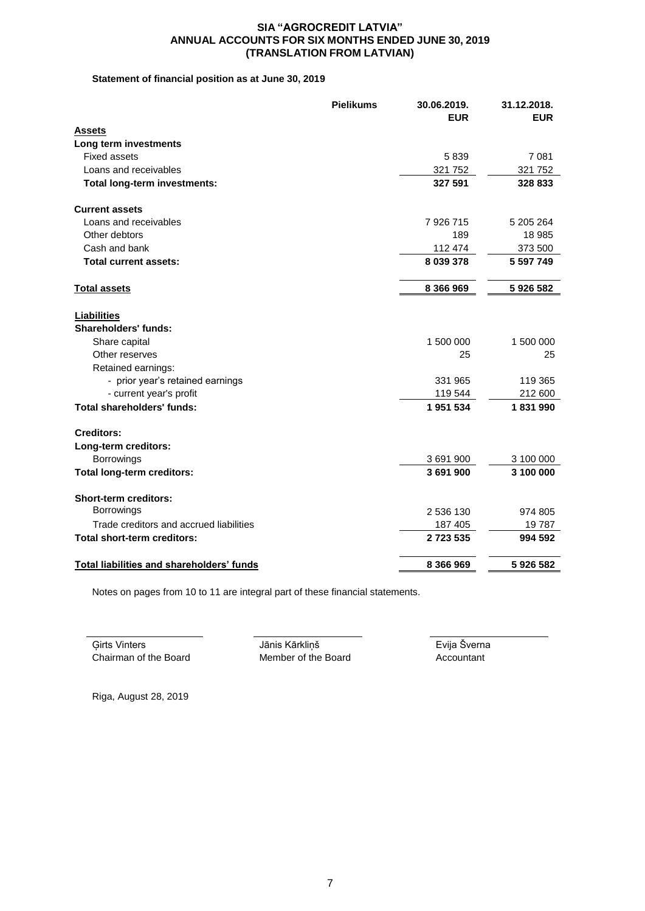# **Statement of financial position as at June 30, 2019**

|                                                   | <b>Pielikums</b> | 30.06.2019.<br><b>EUR</b> | 31.12.2018.<br><b>EUR</b> |
|---------------------------------------------------|------------------|---------------------------|---------------------------|
| <b>Assets</b>                                     |                  |                           |                           |
| Long term investments                             |                  |                           |                           |
| <b>Fixed assets</b>                               |                  | 5839                      | 7 0 8 1                   |
| Loans and receivables                             |                  | 321 752                   | 321 752                   |
| Total long-term investments:                      |                  | 327 591                   | 328 833                   |
| <b>Current assets</b>                             |                  |                           |                           |
| Loans and receivables                             |                  | 7 926 715                 | 5 205 264                 |
| Other debtors                                     |                  | 189                       | 18 985                    |
| Cash and bank                                     |                  | 112 474                   | 373 500                   |
| <b>Total current assets:</b>                      |                  | 8 039 378                 | 5 597 749                 |
| <b>Total assets</b>                               |                  | 8 366 969                 | 5926582                   |
| <b>Liabilities</b><br><b>Shareholders' funds:</b> |                  |                           |                           |
| Share capital                                     |                  | 1 500 000                 | 1 500 000                 |
| Other reserves                                    |                  | 25                        | 25                        |
| Retained earnings:                                |                  |                           |                           |
| - prior year's retained earnings                  |                  | 331 965                   | 119 365                   |
| - current year's profit                           |                  | 119 544                   | 212 600                   |
| <b>Total shareholders' funds:</b>                 |                  | 1951534                   | 1831990                   |
| <b>Creditors:</b>                                 |                  |                           |                           |
| Long-term creditors:                              |                  |                           |                           |
| Borrowings                                        |                  | 3 691 900                 | 3 100 000                 |
| <b>Total long-term creditors:</b>                 |                  | 3691900                   | 3 100 000                 |
| Short-term creditors:                             |                  |                           |                           |
| Borrowings                                        |                  | 2 536 130                 | 974 805                   |
| Trade creditors and accrued liabilities           |                  | 187 405                   | 19787                     |
| <b>Total short-term creditors:</b>                |                  | 2723535                   | 994 592                   |
| <b>Total liabilities and shareholders' funds</b>  |                  | 8 366 969                 | 5926582                   |

Notes on pages from 10 to 11 are integral part of these financial statements.

Ģirts Vinters Jānis Kārkliņš Evija Šverna Chairman of the Board Member of the Board Accountant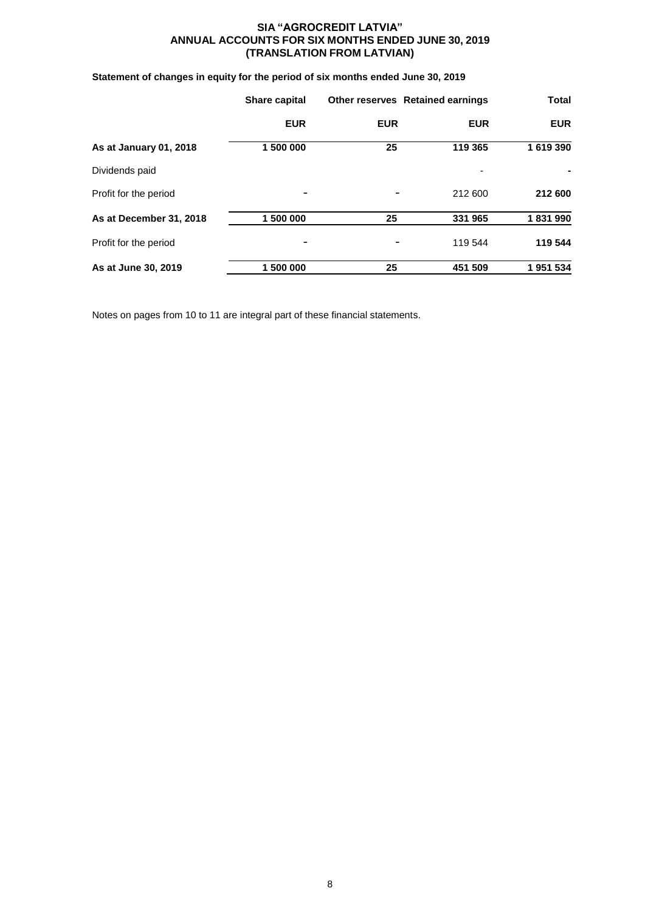# **Statement of changes in equity for the period of six months ended June 30, 2019**

|                         | Share capital |            | <b>Other reserves Retained earnings</b> | <b>Total</b> |  |
|-------------------------|---------------|------------|-----------------------------------------|--------------|--|
|                         | <b>EUR</b>    | <b>EUR</b> | <b>EUR</b>                              | <b>EUR</b>   |  |
| As at January 01, 2018  | 1 500 000     | 25         | 119 365                                 | 1 619 390    |  |
| Dividends paid          |               |            | ٠                                       |              |  |
| Profit for the period   |               |            | 212 600                                 | 212 600      |  |
| As at December 31, 2018 | 1 500 000     | 25         | 331 965                                 | 1831990      |  |
| Profit for the period   |               |            | 119 544                                 | 119 544      |  |
| As at June 30, 2019     | 1 500 000     | 25         | 451 509                                 | 1951534      |  |

Notes on pages from 10 to 11 are integral part of these financial statements.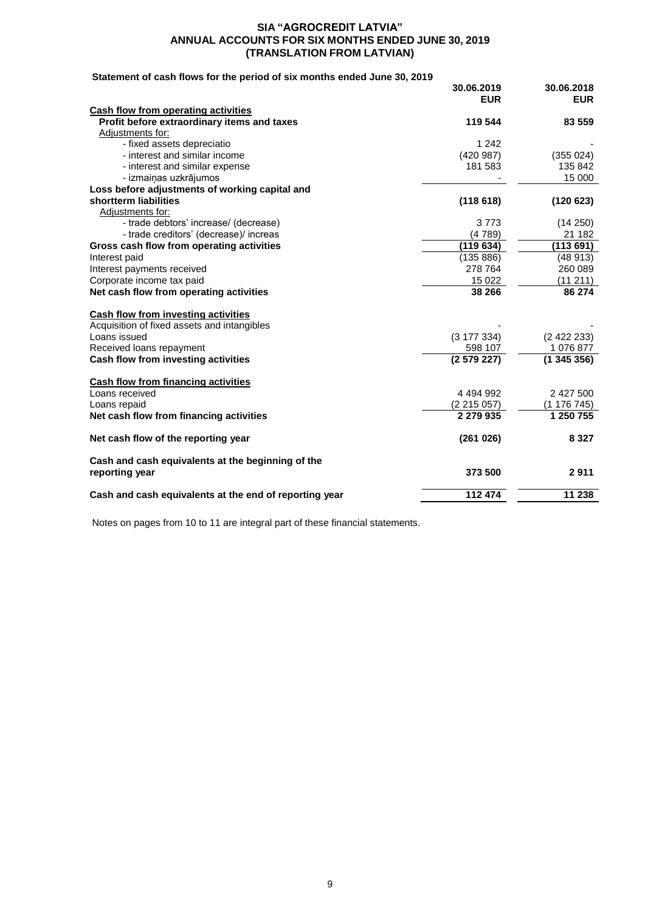# **Statement of cash flows for the period of six months ended June 30, 2019**

|                                                        | 30.06.2019<br><b>EUR</b> | 30.06.2018<br><b>EUR</b> |
|--------------------------------------------------------|--------------------------|--------------------------|
| <b>Cash flow from operating activities</b>             |                          |                          |
| Profit before extraordinary items and taxes            | 119 544                  | 83 559                   |
| Adjustments for:                                       |                          |                          |
| - fixed assets depreciatio                             | 1 2 4 2                  |                          |
| - interest and similar income                          | (420987)                 | (355024)                 |
| - interest and similar expense                         | 181 583                  | 135 842                  |
| - izmaiņas uzkrājumos                                  |                          | 15 000                   |
| Loss before adjustments of working capital and         |                          |                          |
| shortterm liabilities                                  | (118618)                 | (120623)                 |
| Adiustments for:                                       |                          |                          |
| - trade debtors' increase/ (decrease)                  | 3773                     | (14 250)                 |
| - trade creditors' (decrease)/ increas                 | (4789)                   | 21 182                   |
| Gross cash flow from operating activities              | (119634)                 | (113691)                 |
| Interest paid                                          | (135 886)                | (48913)                  |
| Interest payments received                             | 278 764                  | 260 089                  |
| Corporate income tax paid                              | 15 0 22                  | (11 211)                 |
| Net cash flow from operating activities                | 38 266                   | 86 274                   |
| <b>Cash flow from investing activities</b>             |                          |                          |
| Acquisition of fixed assets and intangibles            |                          |                          |
| Loans issued                                           | (3177334)                | (2422233)                |
| Received loans repayment                               | 598 107                  | 1 076 877                |
| Cash flow from investing activities                    | (2579227)                | (1345356)                |
| Cash flow from financing activities                    |                          |                          |
| Loans received                                         | 4 4 9 4 9 9 2            | 2 427 500                |
| Loans repaid                                           | (2215057)                | (1 176 745)              |
| Net cash flow from financing activities                | 2 279 935                | 1 250 755                |
| Net cash flow of the reporting year                    | (261026)                 | 8 3 2 7                  |
| Cash and cash equivalents at the beginning of the      |                          |                          |
| reporting year                                         | 373 500                  | 2911                     |
| Cash and cash equivalents at the end of reporting year | 112 474                  | 11 238                   |

Notes on pages from 10 to 11 are integral part of these financial statements.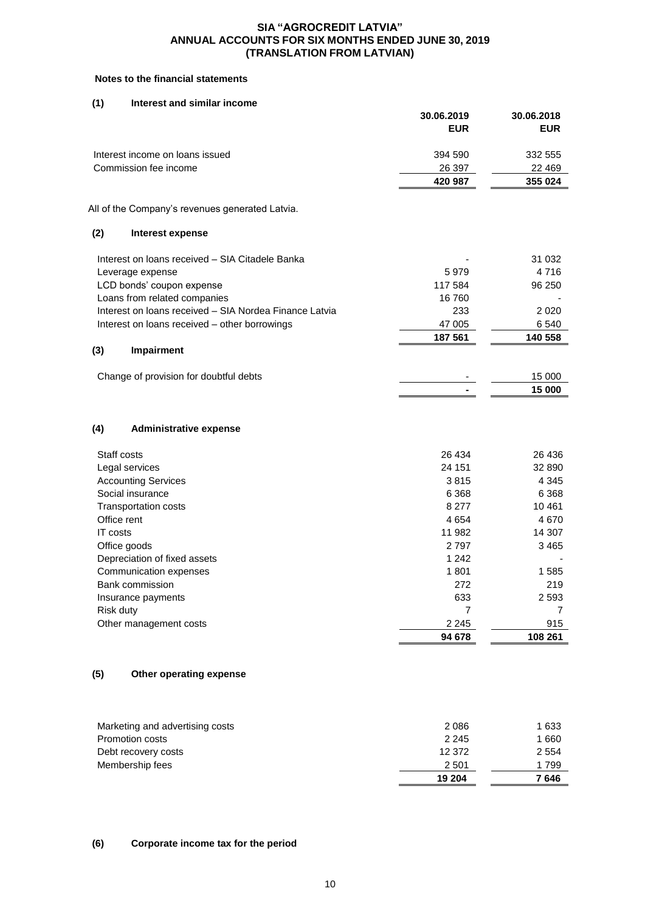# **Notes to the financial statements**

#### **(1) Interest and similar income**

|          |                                                        | 30.06.2019<br><b>EUR</b> | 30.06.2018<br><b>EUR</b> |
|----------|--------------------------------------------------------|--------------------------|--------------------------|
|          | Interest income on loans issued                        | 394 590                  | 332 555                  |
|          | Commission fee income                                  | 26 397                   | 22 4 69                  |
|          |                                                        | 420 987                  | 355 024                  |
|          | All of the Company's revenues generated Latvia.        |                          |                          |
| (2)      | Interest expense                                       |                          |                          |
|          | Interest on loans received - SIA Citadele Banka        |                          | 31 032                   |
|          | Leverage expense                                       | 5979                     | 4716                     |
|          | LCD bonds' coupon expense                              | 117 584                  | 96 250                   |
|          | Loans from related companies                           | 16760                    |                          |
|          | Interest on loans received - SIA Nordea Finance Latvia | 233                      | 2 0 2 0                  |
|          | Interest on loans received - other borrowings          | 47 005                   | 6 5 4 0                  |
|          |                                                        | 187 561                  | 140 558                  |
| (3)      | Impairment                                             |                          |                          |
|          | Change of provision for doubtful debts                 |                          | 15 000                   |
|          |                                                        |                          | 15 000                   |
|          |                                                        |                          |                          |
| (4)      | <b>Administrative expense</b>                          |                          |                          |
|          | Staff costs                                            | 26 434                   | 26 436                   |
|          | Legal services                                         | 24 151                   | 32 890                   |
|          | <b>Accounting Services</b>                             | 3815                     | 4 3 4 5                  |
|          | Social insurance                                       | 6 3 6 8                  | 6 3 6 8                  |
|          | Transportation costs                                   | 8 2 7 7                  | 10461                    |
|          | Office rent                                            | 4 6 5 4                  | 4670                     |
| IT costs |                                                        | 11 982                   | 14 307                   |
|          | Office goods                                           | 2797                     | 3465                     |
|          | Depreciation of fixed assets                           | 1 2 4 2                  |                          |
|          | Communication expenses                                 | 1801                     | 1585                     |
|          | Bank commission                                        | 272                      | 219                      |
|          | Insurance payments                                     | 633                      | 2 5 9 3                  |
|          | Risk duty                                              | 7                        | 7                        |
|          | Other management costs                                 | 2 2 4 5<br>94 678        | 915<br>108 261           |
|          |                                                        |                          |                          |
| (5)      | Other operating expense                                |                          |                          |
|          | Marketing and advertising costs                        | 2 0 8 6                  | 1 6 3 3                  |
|          | Promotion costs                                        | 2 2 4 5                  | 1 6 6 0                  |
|          | Debt recovery costs                                    | 12 372                   | 2 5 5 4                  |
|          | Membership fees                                        | 2 5 0 1                  | 1799                     |

#### **(6) Corporate income tax for the period**

 **19 204 7 646**